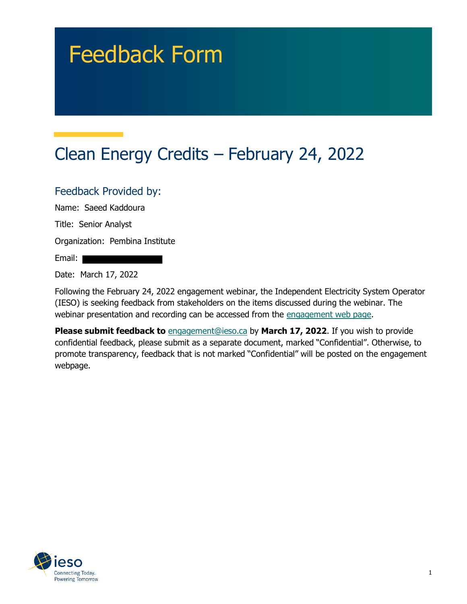# Feedback Form

# Clean Energy Credits – February 24, 2022

#### Feedback Provided by:

Name: Saeed Kaddoura

Title: Senior Analyst

Organization: Pembina Institute

Email:

Date: March 17, 2022

Following the February 24, 2022 engagement webinar, the Independent Electricity System Operator (IESO) is seeking feedback from stakeholders on the items discussed during the webinar. The webinar presentation and recording can be accessed from the engagement web page.

**Please submit feedback to** engagement@ieso.ca by March 17, 2022. If you wish to provide confidential feedback, please submit as a separate document, marked "Confidential". Otherwise, to promote transparency, feedback that is not marked "Confidential" will be posted on the engagement webpage.

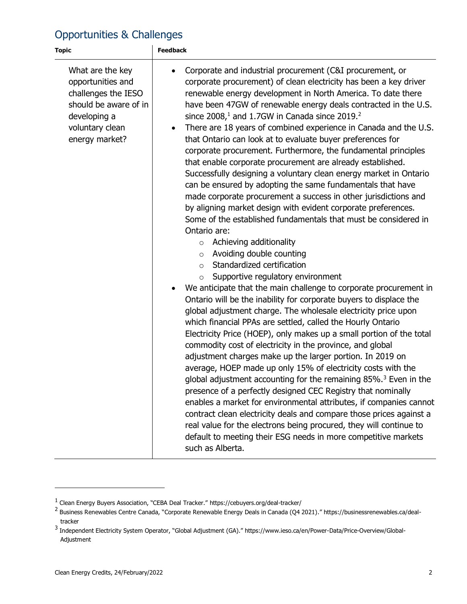## Opportunities & Challenges

| <b>Topic</b>                                                                                                                               | <b>Feedback</b>                                                                                                                                                                                                                                                                                                                                                                                                                                                                                                                                                                                                                                                                                                                                                                                                                                                                                                                                                                                                                                                                                                                                                                                                                                                                                                                                                                                                                                                                                                                                                                                                                                                                                                                                                                                                                                                                                                                                                                                                                                                                                                                                                       |
|--------------------------------------------------------------------------------------------------------------------------------------------|-----------------------------------------------------------------------------------------------------------------------------------------------------------------------------------------------------------------------------------------------------------------------------------------------------------------------------------------------------------------------------------------------------------------------------------------------------------------------------------------------------------------------------------------------------------------------------------------------------------------------------------------------------------------------------------------------------------------------------------------------------------------------------------------------------------------------------------------------------------------------------------------------------------------------------------------------------------------------------------------------------------------------------------------------------------------------------------------------------------------------------------------------------------------------------------------------------------------------------------------------------------------------------------------------------------------------------------------------------------------------------------------------------------------------------------------------------------------------------------------------------------------------------------------------------------------------------------------------------------------------------------------------------------------------------------------------------------------------------------------------------------------------------------------------------------------------------------------------------------------------------------------------------------------------------------------------------------------------------------------------------------------------------------------------------------------------------------------------------------------------------------------------------------------------|
| What are the key<br>opportunities and<br>challenges the IESO<br>should be aware of in<br>developing a<br>voluntary clean<br>energy market? | Corporate and industrial procurement (C&I procurement, or<br>$\bullet$<br>corporate procurement) of clean electricity has been a key driver<br>renewable energy development in North America. To date there<br>have been 47GW of renewable energy deals contracted in the U.S.<br>since $200811$ and 1.7GW in Canada since 2019. <sup>2</sup><br>There are 18 years of combined experience in Canada and the U.S.<br>$\bullet$<br>that Ontario can look at to evaluate buyer preferences for<br>corporate procurement. Furthermore, the fundamental principles<br>that enable corporate procurement are already established.<br>Successfully designing a voluntary clean energy market in Ontario<br>can be ensured by adopting the same fundamentals that have<br>made corporate procurement a success in other jurisdictions and<br>by aligning market design with evident corporate preferences.<br>Some of the established fundamentals that must be considered in<br>Ontario are:<br>Achieving additionality<br>$\circ$<br>Avoiding double counting<br>$\circ$<br>Standardized certification<br>$\circ$<br>Supportive regulatory environment<br>We anticipate that the main challenge to corporate procurement in<br>$\bullet$<br>Ontario will be the inability for corporate buyers to displace the<br>global adjustment charge. The wholesale electricity price upon<br>which financial PPAs are settled, called the Hourly Ontario<br>Electricity Price (HOEP), only makes up a small portion of the total<br>commodity cost of electricity in the province, and global<br>adjustment charges make up the larger portion. In 2019 on<br>average, HOEP made up only 15% of electricity costs with the<br>global adjustment accounting for the remaining 85%. <sup>3</sup> Even in the<br>presence of a perfectly designed CEC Registry that nominally<br>enables a market for environmental attributes, if companies cannot<br>contract clean electricity deals and compare those prices against a<br>real value for the electrons being procured, they will continue to<br>default to meeting their ESG needs in more competitive markets<br>such as Alberta. |

<sup>&</sup>lt;sup>1</sup> Clean Energy Buyers Association, "CEBA Deal Tracker." https://cebuyers.org/deal-tracker/<br><sup>2</sup> Business Renewables Centre Canada, "Corporate Renewable Energy Deals in Canada (Q4 2021)." https://businessrenewables.ca/deal tracker

<sup>&</sup>lt;sup>3</sup> Independent Electricity System Operator, "Global Adjustment (GA)." https://www.ieso.ca/en/Power-Data/Price-Overview/Global-Adjustment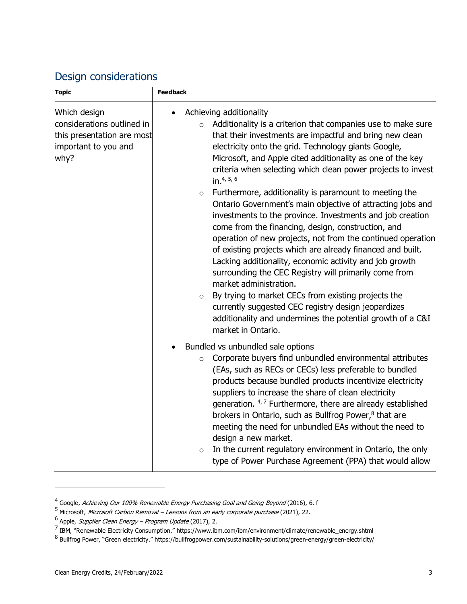#### Design considerations

<span id="page-2-0"></span>

| <b>Topic</b>                                                                                             | <b>Feedback</b>                                                                                                                                                                                                                                                                                                                                                                                                                                                                                                                                                                                                                                                                                                                                                                                                                                                                                                                                                                                                                                                                                                              |
|----------------------------------------------------------------------------------------------------------|------------------------------------------------------------------------------------------------------------------------------------------------------------------------------------------------------------------------------------------------------------------------------------------------------------------------------------------------------------------------------------------------------------------------------------------------------------------------------------------------------------------------------------------------------------------------------------------------------------------------------------------------------------------------------------------------------------------------------------------------------------------------------------------------------------------------------------------------------------------------------------------------------------------------------------------------------------------------------------------------------------------------------------------------------------------------------------------------------------------------------|
| Which design<br>considerations outlined in<br>this presentation are most<br>important to you and<br>why? | Achieving additionality<br>Additionality is a criterion that companies use to make sure<br>$\circ$<br>that their investments are impactful and bring new clean<br>electricity onto the grid. Technology giants Google,<br>Microsoft, and Apple cited additionality as one of the key<br>criteria when selecting which clean power projects to invest<br>in. <sup>4, 5, 6</sup><br>Furthermore, additionality is paramount to meeting the<br>$\circ$<br>Ontario Government's main objective of attracting jobs and<br>investments to the province. Investments and job creation<br>come from the financing, design, construction, and<br>operation of new projects, not from the continued operation<br>of existing projects which are already financed and built.<br>Lacking additionality, economic activity and job growth<br>surrounding the CEC Registry will primarily come from<br>market administration.<br>By trying to market CECs from existing projects the<br>$\circ$<br>currently suggested CEC registry design jeopardizes<br>additionality and undermines the potential growth of a C&I<br>market in Ontario. |
|                                                                                                          | Bundled vs unbundled sale options<br>Corporate buyers find unbundled environmental attributes<br>$\circ$<br>(EAs, such as RECs or CECs) less preferable to bundled<br>products because bundled products incentivize electricity<br>suppliers to increase the share of clean electricity<br>generation. 4,7 Furthermore, there are already established<br>brokers in Ontario, such as Bullfrog Power, <sup>8</sup> that are<br>meeting the need for unbundled EAs without the need to<br>design a new market.<br>In the current regulatory environment in Ontario, the only<br>$\circ$<br>type of Power Purchase Agreement (PPA) that would allow                                                                                                                                                                                                                                                                                                                                                                                                                                                                             |

<sup>&</sup>lt;sup>4</sup> Google, *Achieving Our 100% Renewable Energy Purchasing Goal and Going Beyond* (2016), 6. f

<sup>5</sup> Microsoft, Microsoft Carbon Removal – Lessons from an early corporate purchase (2021), 22.

<sup>&</sup>lt;sup>6</sup> Apple, *Supplier Clean Energy – Program Update* (2017), 2.

<sup>&</sup>lt;sup>7</sup> IBM, "Renewable Electricity Consumption." https://www.ibm.com/ibm/environment/climate/renewable\_energy.shtml

<sup>&</sup>lt;sup>8</sup> Bullfrog Power, "Green electricity." https://bullfrogpower.com/sustainability-solutions/green-energy/green-electricity/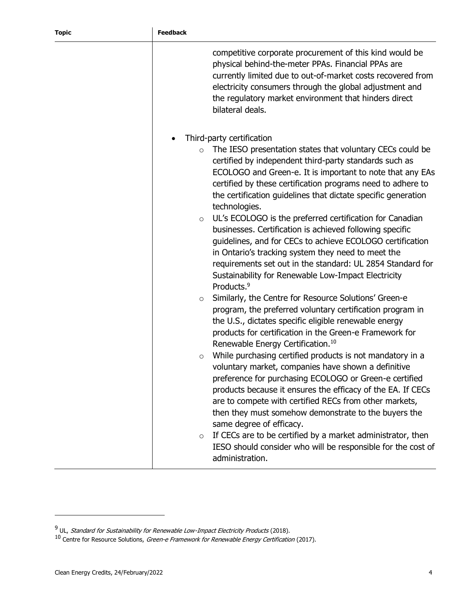|                                               | competitive corporate procurement of this kind would be<br>physical behind-the-meter PPAs. Financial PPAs are<br>currently limited due to out-of-market costs recovered from<br>electricity consumers through the global adjustment and<br>the regulatory market environment that hinders direct<br>bilateral deals.                                                                                                                                                                                                                                                                                                                                                                                                                                                                                                                                                                                                                                                                                                                                                                                                                                                                                                                                                                                                                                                                                                                                                                                                                                                          |
|-----------------------------------------------|-------------------------------------------------------------------------------------------------------------------------------------------------------------------------------------------------------------------------------------------------------------------------------------------------------------------------------------------------------------------------------------------------------------------------------------------------------------------------------------------------------------------------------------------------------------------------------------------------------------------------------------------------------------------------------------------------------------------------------------------------------------------------------------------------------------------------------------------------------------------------------------------------------------------------------------------------------------------------------------------------------------------------------------------------------------------------------------------------------------------------------------------------------------------------------------------------------------------------------------------------------------------------------------------------------------------------------------------------------------------------------------------------------------------------------------------------------------------------------------------------------------------------------------------------------------------------------|
| $\circ$<br>$\circ$<br>$\circ$<br>$\circ$<br>O | Third-party certification<br>The IESO presentation states that voluntary CECs could be<br>certified by independent third-party standards such as<br>ECOLOGO and Green-e. It is important to note that any EAs<br>certified by these certification programs need to adhere to<br>the certification guidelines that dictate specific generation<br>technologies.<br>UL's ECOLOGO is the preferred certification for Canadian<br>businesses. Certification is achieved following specific<br>guidelines, and for CECs to achieve ECOLOGO certification<br>in Ontario's tracking system they need to meet the<br>requirements set out in the standard: UL 2854 Standard for<br>Sustainability for Renewable Low-Impact Electricity<br>Products. <sup>9</sup><br>Similarly, the Centre for Resource Solutions' Green-e<br>program, the preferred voluntary certification program in<br>the U.S., dictates specific eligible renewable energy<br>products for certification in the Green-e Framework for<br>Renewable Energy Certification. <sup>10</sup><br>While purchasing certified products is not mandatory in a<br>voluntary market, companies have shown a definitive<br>preference for purchasing ECOLOGO or Green-e certified<br>products because it ensures the efficacy of the EA. If CECs<br>are to compete with certified RECs from other markets,<br>then they must somehow demonstrate to the buyers the<br>same degree of efficacy.<br>If CECs are to be certified by a market administrator, then<br>IESO should consider who will be responsible for the cost of |
|                                               | administration.                                                                                                                                                                                                                                                                                                                                                                                                                                                                                                                                                                                                                                                                                                                                                                                                                                                                                                                                                                                                                                                                                                                                                                                                                                                                                                                                                                                                                                                                                                                                                               |

<sup>&</sup>lt;sup>9</sup> UL, *Standard for Sustainability for Renewable Low-Impact Electricity Products* (2018).

<sup>&</sup>lt;sup>10</sup> Centre for Resource Solutions, *Green-e Framework for Renewable Energy Certification* (2017).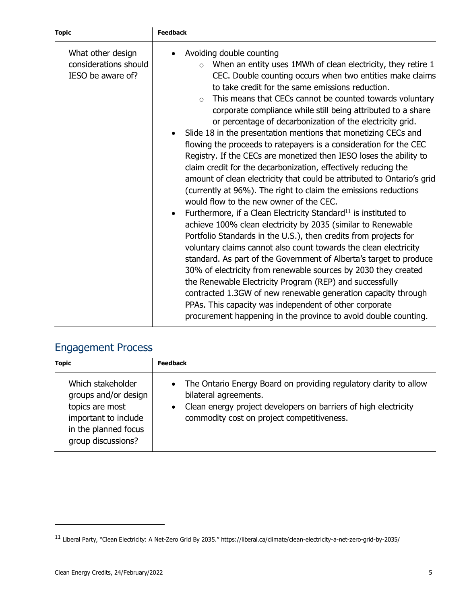| <b>Topic</b>                                                    | <b>Feedback</b>                                                                                                                                                                                                                                                                                                                                                                                                                                                                                                                                                                                                                                                                                                                                                                                                                                                                                                                                                                                                                                                                                                                                                                                                                                                                                                                                                                                                                                                                                                                                                                           |
|-----------------------------------------------------------------|-------------------------------------------------------------------------------------------------------------------------------------------------------------------------------------------------------------------------------------------------------------------------------------------------------------------------------------------------------------------------------------------------------------------------------------------------------------------------------------------------------------------------------------------------------------------------------------------------------------------------------------------------------------------------------------------------------------------------------------------------------------------------------------------------------------------------------------------------------------------------------------------------------------------------------------------------------------------------------------------------------------------------------------------------------------------------------------------------------------------------------------------------------------------------------------------------------------------------------------------------------------------------------------------------------------------------------------------------------------------------------------------------------------------------------------------------------------------------------------------------------------------------------------------------------------------------------------------|
| What other design<br>considerations should<br>IESO be aware of? | Avoiding double counting<br>When an entity uses 1MWh of clean electricity, they retire 1<br>$\circ$<br>CEC. Double counting occurs when two entities make claims<br>to take credit for the same emissions reduction.<br>This means that CECs cannot be counted towards voluntary<br>$\Omega$<br>corporate compliance while still being attributed to a share<br>or percentage of decarbonization of the electricity grid.<br>Slide 18 in the presentation mentions that monetizing CECs and<br>flowing the proceeds to ratepayers is a consideration for the CEC<br>Registry. If the CECs are monetized then IESO loses the ability to<br>claim credit for the decarbonization, effectively reducing the<br>amount of clean electricity that could be attributed to Ontario's grid<br>(currently at 96%). The right to claim the emissions reductions<br>would flow to the new owner of the CEC.<br>Furthermore, if a Clean Electricity Standard <sup>11</sup> is instituted to<br>achieve 100% clean electricity by 2035 (similar to Renewable<br>Portfolio Standards in the U.S.), then credits from projects for<br>voluntary claims cannot also count towards the clean electricity<br>standard. As part of the Government of Alberta's target to produce<br>30% of electricity from renewable sources by 2030 they created<br>the Renewable Electricity Program (REP) and successfully<br>contracted 1.3GW of new renewable generation capacity through<br>PPAs. This capacity was independent of other corporate<br>procurement happening in the province to avoid double counting. |

# Engagement Process

| <b>Topic</b>                                                                                                                       | <b>Feedback</b>                                                                                                                                                                                               |
|------------------------------------------------------------------------------------------------------------------------------------|---------------------------------------------------------------------------------------------------------------------------------------------------------------------------------------------------------------|
| Which stakeholder<br>groups and/or design<br>topics are most<br>important to include<br>in the planned focus<br>group discussions? | • The Ontario Energy Board on providing regulatory clarity to allow<br>bilateral agreements.<br>Clean energy project developers on barriers of high electricity<br>commodity cost on project competitiveness. |

<sup>11</sup> Liberal Party, "Clean Electricity: A Net-Zero Grid By 2035." https://liberal.ca/climate/clean-electricity-a-net-zero-grid-by-2035/